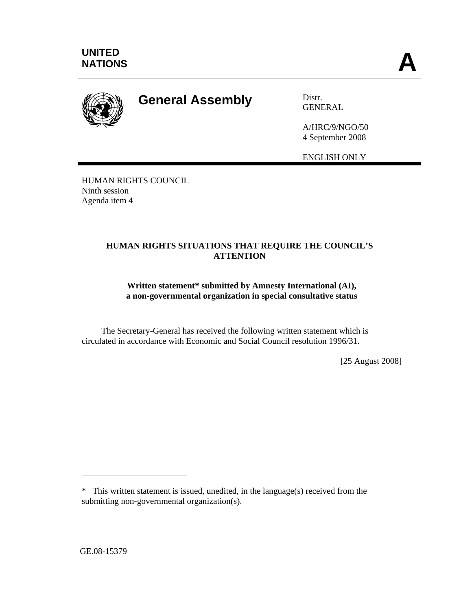

## **General Assembly** Distr.

GENERAL

A/HRC/9/NGO/50 4 September 2008

ENGLISH ONLY

HUMAN RIGHTS COUNCIL Ninth session Agenda item 4

## **HUMAN RIGHTS SITUATIONS THAT REQUIRE THE COUNCIL'S ATTENTION**

## **Written statement\* submitted by Amnesty International (AI), a non-governmental organization in special consultative status**

 The Secretary-General has received the following written statement which is circulated in accordance with Economic and Social Council resolution 1996/31.

[25 August 2008]

 $\overline{a}$ 

<sup>\*</sup> This written statement is issued, unedited, in the language(s) received from the submitting non-governmental organization(s).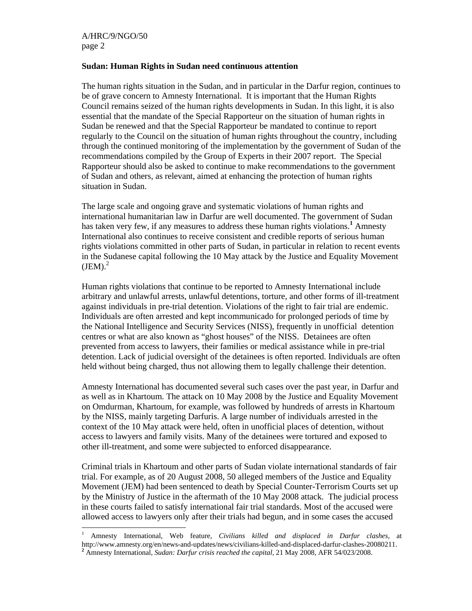$\overline{a}$ 

## **Sudan: Human Rights in Sudan need continuous attention**

The human rights situation in the Sudan, and in particular in the Darfur region, continues to be of grave concern to Amnesty International. It is important that the Human Rights Council remains seized of the human rights developments in Sudan. In this light, it is also essential that the mandate of the Special Rapporteur on the situation of human rights in Sudan be renewed and that the Special Rapporteur be mandated to continue to report regularly to the Council on the situation of human rights throughout the country, including through the continued monitoring of the implementation by the government of Sudan of the recommendations compiled by the Group of Experts in their 2007 report. The Special Rapporteur should also be asked to continue to make recommendations to the government of Sudan and others, as relevant, aimed at enhancing the protection of human rights situation in Sudan.

The large scale and ongoing grave and systematic violations of human rights and international humanitarian law in Darfur are well documented. The government of Sudan has taken very few, if any measures to address these human rights violations.<sup>1</sup> Amnesty International also continues to receive consistent and credible reports of serious human rights violations committed in other parts of Sudan, in particular in relation to recent events in the Sudanese capital following the 10 May attack by the Justice and Equality Movement  $(JEM).<sup>2</sup>$ 

Human rights violations that continue to be reported to Amnesty International include arbitrary and unlawful arrests, unlawful detentions, torture, and other forms of ill-treatment against individuals in pre-trial detention. Violations of the right to fair trial are endemic. Individuals are often arrested and kept incommunicado for prolonged periods of time by the National Intelligence and Security Services (NISS), frequently in unofficial detention centres or what are also known as "ghost houses" of the NISS. Detainees are often prevented from access to lawyers, their families or medical assistance while in pre-trial detention. Lack of judicial oversight of the detainees is often reported. Individuals are often held without being charged, thus not allowing them to legally challenge their detention.

Amnesty International has documented several such cases over the past year, in Darfur and as well as in Khartoum. The attack on 10 May 2008 by the Justice and Equality Movement on Omdurman, Khartoum, for example, was followed by hundreds of arrests in Khartoum by the NISS, mainly targeting Darfuris. A large number of individuals arrested in the context of the 10 May attack were held, often in unofficial places of detention, without access to lawyers and family visits. Many of the detainees were tortured and exposed to other ill-treatment, and some were subjected to enforced disappearance.

Criminal trials in Khartoum and other parts of Sudan violate international standards of fair trial. For example, as of 20 August 2008, 50 alleged members of the Justice and Equality Movement (JEM) had been sentenced to death by Special Counter-Terrorism Courts set up by the Ministry of Justice in the aftermath of the 10 May 2008 attack. The judicial process in these courts failed to satisfy international fair trial standards. Most of the accused were allowed access to lawyers only after their trials had begun, and in some cases the accused

<sup>1</sup> Amnesty International, Web feature, *Civilians killed and displaced in Darfur clashes,* at http://www.amnesty.org/en/news-and-updates/news/civilians-killed-and-displaced-darfur-clashes-20080211. **2** Amnesty International, *Sudan: Darfur crisis reached the capital,* 21 May 2008*,* AFR 54/023/2008.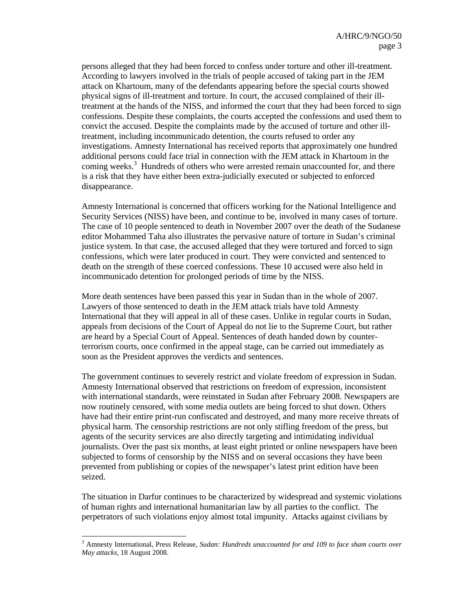persons alleged that they had been forced to confess under torture and other ill-treatment. According to lawyers involved in the trials of people accused of taking part in the JEM attack on Khartoum, many of the defendants appearing before the special courts showed physical signs of ill-treatment and torture. In court, the accused complained of their illtreatment at the hands of the NISS, and informed the court that they had been forced to sign confessions. Despite these complaints, the courts accepted the confessions and used them to convict the accused. Despite the complaints made by the accused of torture and other illtreatment, including incommunicado detention, the courts refused to order any investigations. Amnesty International has received reports that approximately one hundred additional persons could face trial in connection with the JEM attack in Khartoum in the coming weeks.<sup>3</sup> Hundreds of others who were arrested remain unaccounted for, and there is a risk that they have either been extra-judicially executed or subjected to enforced disappearance.

Amnesty International is concerned that officers working for the National Intelligence and Security Services (NISS) have been, and continue to be, involved in many cases of torture. The case of 10 people sentenced to death in November 2007 over the death of the Sudanese editor Mohammed Taha also illustrates the pervasive nature of torture in Sudan's criminal justice system. In that case, the accused alleged that they were tortured and forced to sign confessions, which were later produced in court. They were convicted and sentenced to death on the strength of these coerced confessions. These 10 accused were also held in incommunicado detention for prolonged periods of time by the NISS.

More death sentences have been passed this year in Sudan than in the whole of 2007. Lawyers of those sentenced to death in the JEM attack trials have told Amnesty International that they will appeal in all of these cases. Unlike in regular courts in Sudan, appeals from decisions of the Court of Appeal do not lie to the Supreme Court, but rather are heard by a Special Court of Appeal. Sentences of death handed down by counterterrorism courts, once confirmed in the appeal stage, can be carried out immediately as soon as the President approves the verdicts and sentences.

The government continues to severely restrict and violate freedom of expression in Sudan. Amnesty International observed that restrictions on freedom of expression, inconsistent with international standards, were reinstated in Sudan after February 2008. Newspapers are now routinely censored, with some media outlets are being forced to shut down. Others have had their entire print-run confiscated and destroyed, and many more receive threats of physical harm. The censorship restrictions are not only stifling freedom of the press, but agents of the security services are also directly targeting and intimidating individual journalists. Over the past six months, at least eight printed or online newspapers have been subjected to forms of censorship by the NISS and on several occasions they have been prevented from publishing or copies of the newspaper's latest print edition have been seized.

The situation in Darfur continues to be characterized by widespread and systemic violations of human rights and international humanitarian law by all parties to the conflict. The perpetrators of such violations enjoy almost total impunity. Attacks against civilians by

<sup>3</sup> Amnesty International, Press Release, *Sudan: Hundreds unaccounted for and 109 to face sham courts over May attacks*, 18 August 2008.